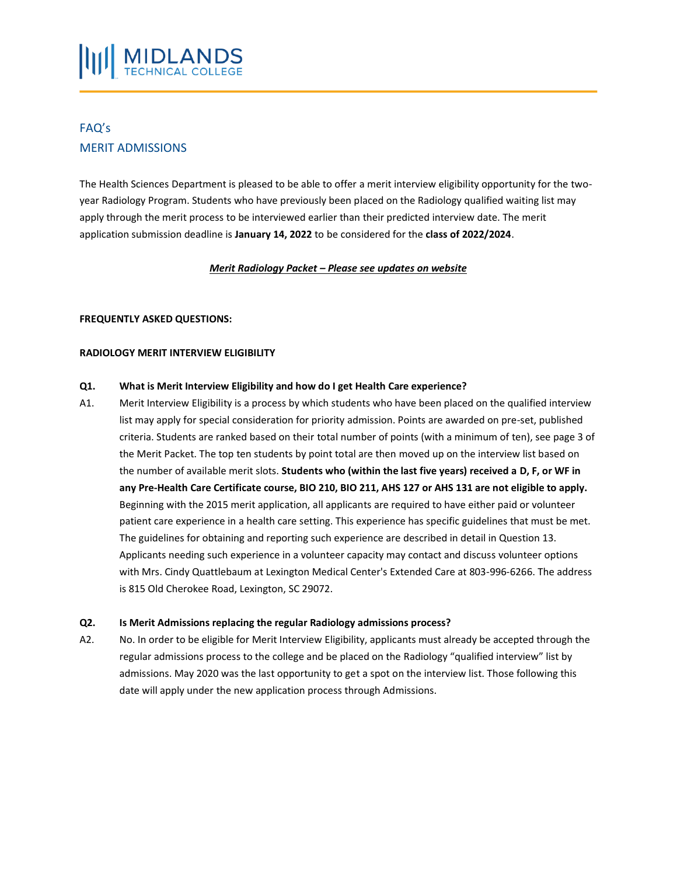# FAQ's MERIT ADMISSIONS

The Health Sciences Department is pleased to be able to offer a merit interview eligibility opportunity for the twoyear Radiology Program. Students who have previously been placed on the Radiology qualified waiting list may apply through the merit process to be interviewed earlier than their predicted interview date. The merit application submission deadline is **January 14, 2022** to be considered for the **class of 2022/2024**.

# *Merit Radiology Packet – Please see updates on website*

# **FREQUENTLY ASKED QUESTIONS:**

#### **RADIOLOGY MERIT INTERVIEW ELIGIBILITY**

#### **Q1. What is Merit Interview Eligibility and how do I get Health Care experience?**

A1. Merit Interview Eligibility is a process by which students who have been placed on the qualified interview list may apply for special consideration for priority admission. Points are awarded on pre-set, published criteria. Students are ranked based on their total number of points (with a minimum of ten), see page 3 of the Merit Packet. The top ten students by point total are then moved up on the interview list based on the number of available merit slots. **Students who (within the last five years) received a D, F, or WF in any Pre-Health Care Certificate course, BIO 210, BIO 211, AHS 127 or AHS 131 are not eligible to apply.** Beginning with the 2015 merit application, all applicants are required to have either paid or volunteer patient care experience in a health care setting. This experience has specific guidelines that must be met. The guidelines for obtaining and reporting such experience are described in detail in Question 13. Applicants needing such experience in a volunteer capacity may contact and discuss volunteer options with Mrs. Cindy Quattlebaum at Lexington Medical Center's Extended Care at 803-996-6266. The address is 815 Old Cherokee Road, Lexington, SC 29072.

#### **Q2. Is Merit Admissions replacing the regular Radiology admissions process?**

A2. No. In order to be eligible for Merit Interview Eligibility, applicants must already be accepted through the regular admissions process to the college and be placed on the Radiology "qualified interview" list by admissions. May 2020 was the last opportunity to get a spot on the interview list. Those following this date will apply under the new application process through Admissions.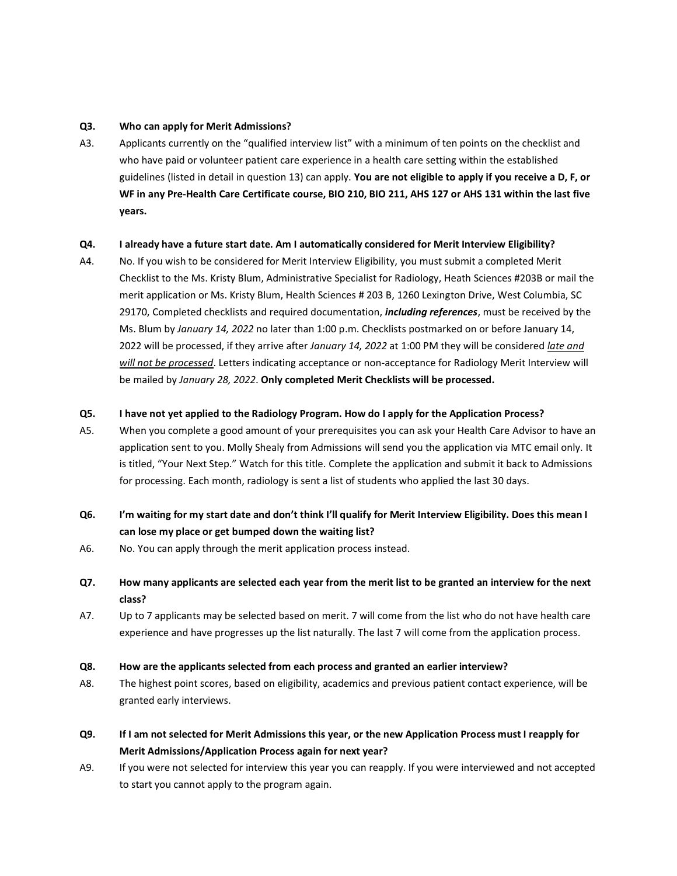#### **Q3. Who can apply for Merit Admissions?**

A3. Applicants currently on the "qualified interview list" with a minimum of ten points on the checklist and who have paid or volunteer patient care experience in a health care setting within the established guidelines (listed in detail in question 13) can apply. **You are not eligible to apply if you receive a D, F, or WF in any Pre-Health Care Certificate course, BIO 210, BIO 211, AHS 127 or AHS 131 within the last five years.**

# **Q4. I already have a future start date. Am I automatically considered for Merit Interview Eligibility?**

A4. No. If you wish to be considered for Merit Interview Eligibility, you must submit a completed Merit Checklist to the Ms. Kristy Blum, Administrative Specialist for Radiology, Heath Sciences #203B or mail the merit application or Ms. Kristy Blum, Health Sciences # 203 B, 1260 Lexington Drive, West Columbia, SC 29170, Completed checklists and required documentation, *including references*, must be received by the Ms. Blum by *January 14, 2022* no later than 1:00 p.m. Checklists postmarked on or before January 14, 2022 will be processed, if they arrive after *January 14, 2022* at 1:00 PM they will be considered *late and will not be processed*. Letters indicating acceptance or non-acceptance for Radiology Merit Interview will be mailed by *January 28, 2022*. **Only completed Merit Checklists will be processed.**

# **Q5. I have not yet applied to the Radiology Program. How do I apply for the Application Process?**

- A5. When you complete a good amount of your prerequisites you can ask your Health Care Advisor to have an application sent to you. Molly Shealy from Admissions will send you the application via MTC email only. It is titled, "Your Next Step." Watch for this title. Complete the application and submit it back to Admissions for processing. Each month, radiology is sent a list of students who applied the last 30 days.
- **Q6. I'm waiting for my start date and don't think I'll qualify for Merit Interview Eligibility. Does this mean I can lose my place or get bumped down the waiting list?**
- A6. No. You can apply through the merit application process instead.
- **Q7. How many applicants are selected each year from the merit list to be granted an interview for the next class?**
- A7. Up to 7 applicants may be selected based on merit. 7 will come from the list who do not have health care experience and have progresses up the list naturally. The last 7 will come from the application process.

# **Q8. How are the applicants selected from each process and granted an earlier interview?**

- A8. The highest point scores, based on eligibility, academics and previous patient contact experience, will be granted early interviews.
- **Q9. If I am not selected for Merit Admissions this year, or the new Application Process must I reapply for Merit Admissions/Application Process again for next year?**
- A9. If you were not selected for interview this year you can reapply. If you were interviewed and not accepted to start you cannot apply to the program again.